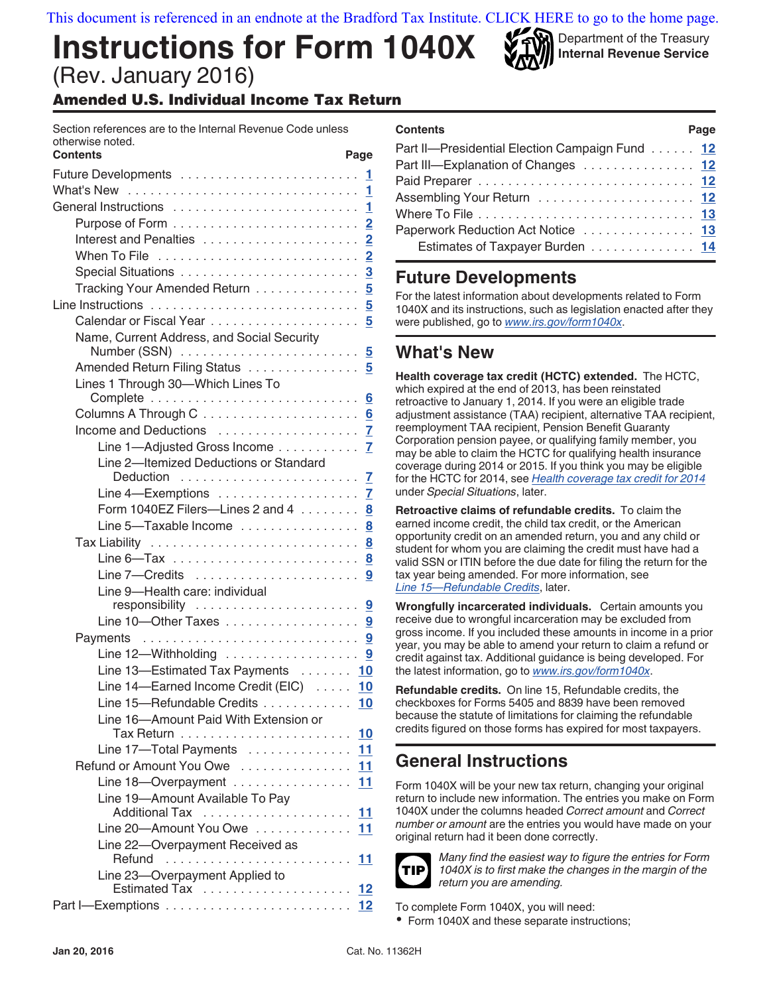[This document is referenced in an endnote at the Bradford Tax Institute. CLICK HERE to go to the home page.](www.bradfordtaxinstitute.com)

# **Instructions for Form 1040X** (Rev. January 2016)

Amended U.S. Individual Income Tax Return

| Section references are to the Internal Revenue Code unless<br>otherwise noted. |                         |
|--------------------------------------------------------------------------------|-------------------------|
| <b>Contents</b><br>Page                                                        |                         |
|                                                                                | $\mathbf{1}$            |
|                                                                                | 1                       |
| General Instructions                                                           | 1                       |
|                                                                                |                         |
| Interest and Penalties                                                         | $\overline{2}$          |
|                                                                                | $\overline{\mathbf{c}}$ |
|                                                                                | $\overline{3}$          |
| Tracking Your Amended Return                                                   | 5                       |
|                                                                                | 5                       |
|                                                                                | 5                       |
| Name, Current Address, and Social Security                                     |                         |
|                                                                                | 5                       |
| Amended Return Filing Status 5                                                 |                         |
| Lines 1 Through 30-Which Lines To                                              |                         |
|                                                                                | 6                       |
| Columns A Through $C_1, \ldots, C_k, \ldots, C_k, \ldots, C_k$                 |                         |
|                                                                                |                         |
| Line 1-Adjusted Gross Income                                                   | $\overline{I}$          |
| Line 2-Itemized Deductions or Standard                                         |                         |
|                                                                                | $\mathbf{Z}$            |
|                                                                                |                         |
| Form 1040EZ Filers-Lines 2 and 4 $\dots \dots$ .                               |                         |
| Line 5-Taxable Income                                                          | 8                       |
|                                                                                | 8                       |
|                                                                                | 8                       |
| Line 7-Credits                                                                 | 9                       |
| Line 9-Health care: individual                                                 |                         |
|                                                                                | <u>១</u>                |
| Line 10-Other Taxes                                                            | 9                       |
| Payments                                                                       |                         |
| Line 12—Withholding  9                                                         |                         |
| Line 13-Estimated Tax Payments  10                                             |                         |
| Line 14-Earned Income Credit (EIC)  10                                         |                         |
| Line 15-Refundable Credits  10                                                 |                         |
| Line 16-Amount Paid With Extension or                                          |                         |
| 10                                                                             |                         |
| Line 17-Total Payments<br>11                                                   |                         |
| Refund or Amount You Owe  11                                                   |                         |
| Line 18-Overpayment  11                                                        |                         |
| Line 19-Amount Available To Pay                                                |                         |
| <u>11</u>                                                                      |                         |
| Line 20-Amount You Owe<br>11                                                   |                         |
| Line 22-Overpayment Received as                                                |                         |
| 11                                                                             |                         |
| Line 23-Overpayment Applied to<br>12                                           |                         |
|                                                                                |                         |

| <b>Contents</b>                                | Page |
|------------------------------------------------|------|
| Part II-Presidential Election Campaign Fund 12 |      |
| Part III-Explanation of Changes  12            |      |
|                                                |      |
|                                                |      |
|                                                |      |
| Paperwork Reduction Act Notice  13             |      |
| Estimates of Taxpayer Burden 14                |      |
|                                                |      |

Department of the Treasury **Internal Revenue Service**

### **Future Developments**

For the latest information about developments related to Form 1040X and its instructions, such as legislation enacted after they were published, go to *[www.irs.gov/form1040x](https://www.irs.gov/uac/About-Form-1040X)*.

### **What's New**

**Health coverage tax credit (HCTC) extended.** The HCTC, which expired at the end of 2013, has been reinstated retroactive to January 1, 2014. If you were an eligible trade adjustment assistance (TAA) recipient, alternative TAA recipient, reemployment TAA recipient, Pension Benefit Guaranty Corporation pension payee, or qualifying family member, you may be able to claim the HCTC for qualifying health insurance coverage during 2014 or 2015. If you think you may be eligible for the HCTC for 2014, see *[Health coverage tax credit for 2014](#page-2-0)*  under *Special Situations*, later.

**Retroactive claims of refundable credits.** To claim the earned income credit, the child tax credit, or the American opportunity credit on an amended return, you and any child or student for whom you are claiming the credit must have had a valid SSN or ITIN before the due date for filing the return for the tax year being amended. For more information, see *[Line 15—Refundable Credits](#page-9-0)*, later.

**Wrongfully incarcerated individuals.** Certain amounts you receive due to wrongful incarceration may be excluded from gross income. If you included these amounts in income in a prior year, you may be able to amend your return to claim a refund or credit against tax. Additional guidance is being developed. For the latest information, go to *[www.irs.gov/form1040x](https://www.irs.gov/uac/About-Form-1040X)*.

**Refundable credits.** On line 15, Refundable credits, the checkboxes for Forms 5405 and 8839 have been removed because the statute of limitations for claiming the refundable credits figured on those forms has expired for most taxpayers.

## **General Instructions**

Form 1040X will be your new tax return, changing your original return to include new information. The entries you make on Form 1040X under the columns headed *Correct amount* and *Correct number or amount* are the entries you would have made on your original return had it been done correctly.



*Many find the easiest way to figure the entries for Form 1040X is to first make the changes in the margin of the return you are amending.*

To complete Form 1040X, you will need:

• Form 1040X and these separate instructions;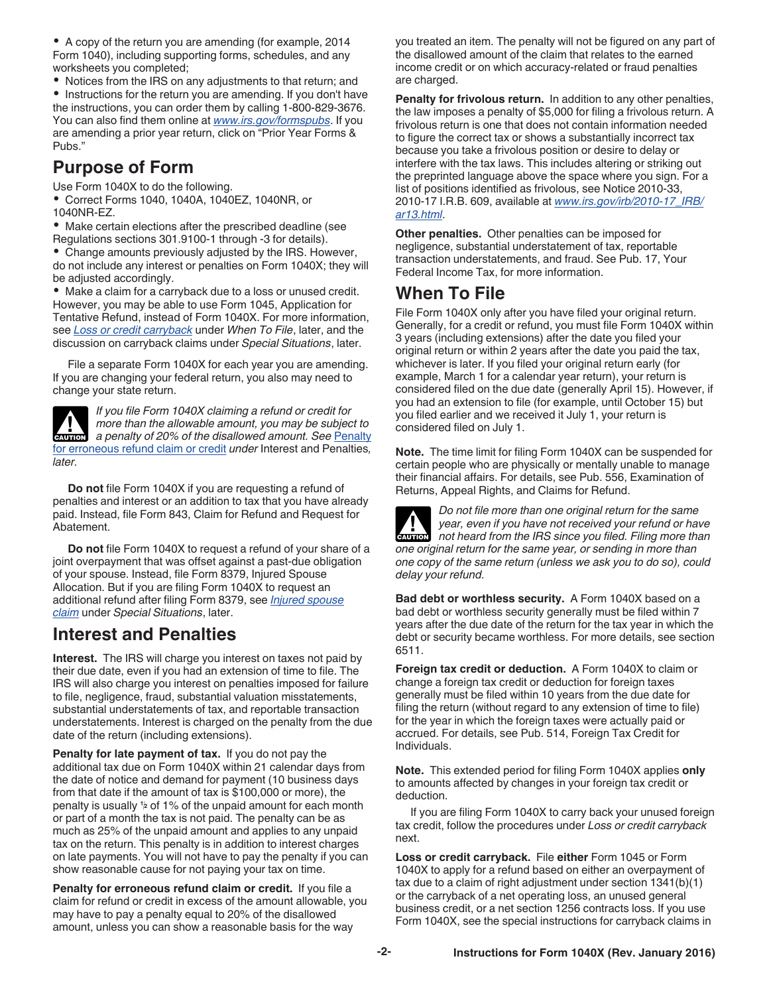<span id="page-1-0"></span>A copy of the return you are amending (for example, 2014 Form 1040), including supporting forms, schedules, and any worksheets you completed;

Notices from the IRS on any adjustments to that return; and

• Instructions for the return you are amending. If you don't have the instructions, you can order them by calling 1-800-829-3676. You can also find them online at *[www.irs.gov/formspubs](http://www.irs.gov/formspubs)*. If you are amending a prior year return, click on "Prior Year Forms & Pubs."

### **Purpose of Form**

Use Form 1040X to do the following.

Correct Forms 1040, 1040A, 1040EZ, 1040NR, or 1040NR-EZ.

Make certain elections after the prescribed deadline (see Regulations sections 301.9100-1 through -3 for details).

Change amounts previously adjusted by the IRS. However, do not include any interest or penalties on Form 1040X; they will be adjusted accordingly.

Make a claim for a carryback due to a loss or unused credit. However, you may be able to use Form 1045, Application for Tentative Refund, instead of Form 1040X. For more information, see *Loss or credit carryback* under *When To File*, later, and the discussion on carryback claims under *Special Situations*, later.

File a separate Form 1040X for each year you are amending. If you are changing your federal return, you also may need to change your state return.

*If you file Form 1040X claiming a refund or credit for more than the allowable amount, you may be subject to a penalty of 20% of the disallowed amount. See* Penalty for erroneous refund claim or credit *under* Interest and Penalties*, later.* **CAUTION !**

**Do not** file Form 1040X if you are requesting a refund of penalties and interest or an addition to tax that you have already paid. Instead, file Form 843, Claim for Refund and Request for Abatement.

**Do not** file Form 1040X to request a refund of your share of a joint overpayment that was offset against a past-due obligation of your spouse. Instead, file Form 8379, Injured Spouse Allocation. But if you are filing Form 1040X to request an additional refund after filing Form 8379, see *[Injured spouse](#page-3-0)  [claim](#page-3-0)* under *Special Situations*, later.

### **Interest and Penalties**

**Interest.** The IRS will charge you interest on taxes not paid by their due date, even if you had an extension of time to file. The IRS will also charge you interest on penalties imposed for failure to file, negligence, fraud, substantial valuation misstatements, substantial understatements of tax, and reportable transaction understatements. Interest is charged on the penalty from the due date of the return (including extensions).

**Penalty for late payment of tax.** If you do not pay the additional tax due on Form 1040X within 21 calendar days from the date of notice and demand for payment (10 business days from that date if the amount of tax is \$100,000 or more), the penalty is usually **<sup>1</sup> <sup>2</sup>** of 1% of the unpaid amount for each month or part of a month the tax is not paid. The penalty can be as much as 25% of the unpaid amount and applies to any unpaid tax on the return. This penalty is in addition to interest charges on late payments. You will not have to pay the penalty if you can show reasonable cause for not paying your tax on time.

**Penalty for erroneous refund claim or credit.** If you file a claim for refund or credit in excess of the amount allowable, you may have to pay a penalty equal to 20% of the disallowed amount, unless you can show a reasonable basis for the way

you treated an item. The penalty will not be figured on any part of the disallowed amount of the claim that relates to the earned income credit or on which accuracy-related or fraud penalties are charged.

**Penalty for frivolous return.** In addition to any other penalties, the law imposes a penalty of \$5,000 for filing a frivolous return. A frivolous return is one that does not contain information needed to figure the correct tax or shows a substantially incorrect tax because you take a frivolous position or desire to delay or interfere with the tax laws. This includes altering or striking out the preprinted language above the space where you sign. For a list of positions identified as frivolous, see Notice 2010-33, 2010-17 I.R.B. 609, available at *[www.irs.gov/irb/2010-17\\_IRB/](http://www.irs.gov/irb/2010-17_IRB/ar13.html) [ar13.html](http://www.irs.gov/irb/2010-17_IRB/ar13.html)*.

**Other penalties.** Other penalties can be imposed for negligence, substantial understatement of tax, reportable transaction understatements, and fraud. See Pub. 17, Your Federal Income Tax, for more information.

### **When To File**

File Form 1040X only after you have filed your original return. Generally, for a credit or refund, you must file Form 1040X within 3 years (including extensions) after the date you filed your original return or within 2 years after the date you paid the tax, whichever is later. If you filed your original return early (for example, March 1 for a calendar year return), your return is considered filed on the due date (generally April 15). However, if you had an extension to file (for example, until October 15) but you filed earlier and we received it July 1, your return is considered filed on July 1.

**Note.** The time limit for filing Form 1040X can be suspended for certain people who are physically or mentally unable to manage their financial affairs. For details, see Pub. 556, Examination of Returns, Appeal Rights, and Claims for Refund.



*Do not file more than one original return for the same year, even if you have not received your refund or have not heard from the IRS since you filed. Filing more than one original return for the same year, or sending in more than one copy of the same return (unless we ask you to do so), could delay your refund.* **CAUTION !**

**Bad debt or worthless security.** A Form 1040X based on a bad debt or worthless security generally must be filed within 7 years after the due date of the return for the tax year in which the debt or security became worthless. For more details, see section 6511.

**Foreign tax credit or deduction.** A Form 1040X to claim or change a foreign tax credit or deduction for foreign taxes generally must be filed within 10 years from the due date for filing the return (without regard to any extension of time to file) for the year in which the foreign taxes were actually paid or accrued. For details, see Pub. 514, Foreign Tax Credit for Individuals.

**Note.** This extended period for filing Form 1040X applies **only**  to amounts affected by changes in your foreign tax credit or deduction.

If you are filing Form 1040X to carry back your unused foreign tax credit, follow the procedures under *Loss or credit carryback*  next.

**Loss or credit carryback.** File **either** Form 1045 or Form 1040X to apply for a refund based on either an overpayment of tax due to a claim of right adjustment under section 1341(b)(1) or the carryback of a net operating loss, an unused general business credit, or a net section 1256 contracts loss. If you use Form 1040X, see the special instructions for carryback claims in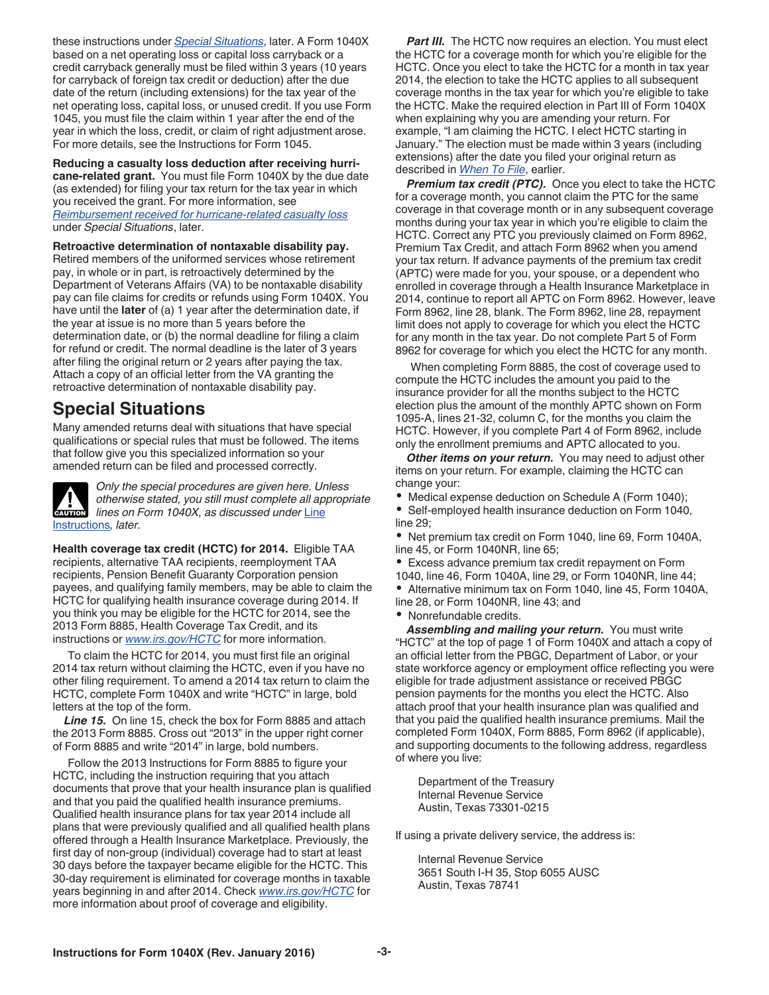<span id="page-2-0"></span>these instructions under *Special Situations*, later. A Form 1040X based on a net operating loss or capital loss carryback or a credit carryback generally must be filed within 3 years (10 years for carryback of foreign tax credit or deduction) after the due date of the return (including extensions) for the tax year of the net operating loss, capital loss, or unused credit. If you use Form 1045, you must file the claim within 1 year after the end of the year in which the loss, credit, or claim of right adjustment arose. For more details, see the Instructions for Form 1045.

**Reducing a casualty loss deduction after receiving hurricane-related grant.** You must file Form 1040X by the due date (as extended) for filing your tax return for the tax year in which you received the grant. For more information, see *[Reimbursement received for hurricane-related casualty loss](#page-4-0)* 

under *Special Situations*, later.

**Retroactive determination of nontaxable disability pay.** 

Retired members of the uniformed services whose retirement pay, in whole or in part, is retroactively determined by the Department of Veterans Affairs (VA) to be nontaxable disability pay can file claims for credits or refunds using Form 1040X. You have until the **later** of (a) 1 year after the determination date, if the year at issue is no more than 5 years before the determination date, or (b) the normal deadline for filing a claim for refund or credit. The normal deadline is the later of 3 years after filing the original return or 2 years after paying the tax. Attach a copy of an official letter from the VA granting the retroactive determination of nontaxable disability pay.

### **Special Situations**

Many amended returns deal with situations that have special qualifications or special rules that must be followed. The items that follow give you this specialized information so your amended return can be filed and processed correctly.



*Only the special procedures are given here. Unless otherwise stated, you still must complete all appropriate lines on Form 1040X, as discussed under* [Line](#page-4-0) [Instructions](#page-4-0)*, later.*

**Health coverage tax credit (HCTC) for 2014.** Eligible TAA recipients, alternative TAA recipients, reemployment TAA recipients, Pension Benefit Guaranty Corporation pension payees, and qualifying family members, may be able to claim the HCTC for qualifying health insurance coverage during 2014. If you think you may be eligible for the HCTC for 2014, see the 2013 Form 8885, Health Coverage Tax Credit, and its instructions or *[www.irs.gov/HCTC](http://www.irs.gov/Individuals/HCTC-Latest-News-and-Background)* for more information.

To claim the HCTC for 2014, you must first file an original 2014 tax return without claiming the HCTC, even if you have no other filing requirement. To amend a 2014 tax return to claim the HCTC, complete Form 1040X and write "HCTC" in large, bold letters at the top of the form.

*Line 15.* On line 15, check the box for Form 8885 and attach the 2013 Form 8885. Cross out "2013" in the upper right corner of Form 8885 and write "2014" in large, bold numbers.

Follow the 2013 Instructions for Form 8885 to figure your HCTC, including the instruction requiring that you attach documents that prove that your health insurance plan is qualified and that you paid the qualified health insurance premiums. Qualified health insurance plans for tax year 2014 include all plans that were previously qualified and all qualified health plans offered through a Health Insurance Marketplace. Previously, the first day of non-group (individual) coverage had to start at least 30 days before the taxpayer became eligible for the HCTC. This 30-day requirement is eliminated for coverage months in taxable years beginning in and after 2014. Check *[www.irs.gov/HCTC](http://www.irs.gov/Individuals/HCTC-Latest-News-and-Background)* for more information about proof of coverage and eligibility.

**Part III.** The HCTC now requires an election. You must elect the HCTC for a coverage month for which you're eligible for the HCTC. Once you elect to take the HCTC for a month in tax year 2014, the election to take the HCTC applies to all subsequent coverage months in the tax year for which you're eligible to take the HCTC. Make the required election in Part III of Form 1040X when explaining why you are amending your return. For example, "I am claiming the HCTC. I elect HCTC starting in January." The election must be made within 3 years (including extensions) after the date you filed your original return as described in *[When To File](#page-1-0)*, earlier.

*Premium tax credit (PTC).* Once you elect to take the HCTC for a coverage month, you cannot claim the PTC for the same coverage in that coverage month or in any subsequent coverage months during your tax year in which you're eligible to claim the HCTC. Correct any PTC you previously claimed on Form 8962, Premium Tax Credit, and attach Form 8962 when you amend your tax return. If advance payments of the premium tax credit (APTC) were made for you, your spouse, or a dependent who enrolled in coverage through a Health Insurance Marketplace in 2014, continue to report all APTC on Form 8962. However, leave Form 8962, line 28, blank. The Form 8962, line 28, repayment limit does not apply to coverage for which you elect the HCTC for any month in the tax year. Do not complete Part 5 of Form 8962 for coverage for which you elect the HCTC for any month.

When completing Form 8885, the cost of coverage used to compute the HCTC includes the amount you paid to the insurance provider for all the months subject to the HCTC election plus the amount of the monthly APTC shown on Form 1095-A, lines 21-32, column C, for the months you claim the HCTC. However, if you complete Part 4 of Form 8962, include only the enrollment premiums and APTC allocated to you.

**Other items on your return.** You may need to adjust other items on your return. For example, claiming the HCTC can change your:

Medical expense deduction on Schedule A (Form 1040);

Self-employed health insurance deduction on Form 1040, line 29;

Net premium tax credit on Form 1040, line 69, Form 1040A, line 45, or Form 1040NR, line 65;

Excess advance premium tax credit repayment on Form

1040, line 46, Form 1040A, line 29, or Form 1040NR, line 44;

Alternative minimum tax on Form 1040, line 45, Form 1040A, line 28, or Form 1040NR, line 43; and

Nonrefundable credits.

*Assembling and mailing your return.* You must write "HCTC" at the top of page 1 of Form 1040X and attach a copy of an official letter from the PBGC, Department of Labor, or your state workforce agency or employment office reflecting you were eligible for trade adjustment assistance or received PBGC pension payments for the months you elect the HCTC. Also attach proof that your health insurance plan was qualified and that you paid the qualified health insurance premiums. Mail the completed Form 1040X, Form 8885, Form 8962 (if applicable), and supporting documents to the following address, regardless of where you live:

Department of the Treasury Internal Revenue Service Austin, Texas 73301-0215

If using a private delivery service, the address is:

Internal Revenue Service 3651 South I-H 35, Stop 6055 AUSC Austin, Texas 78741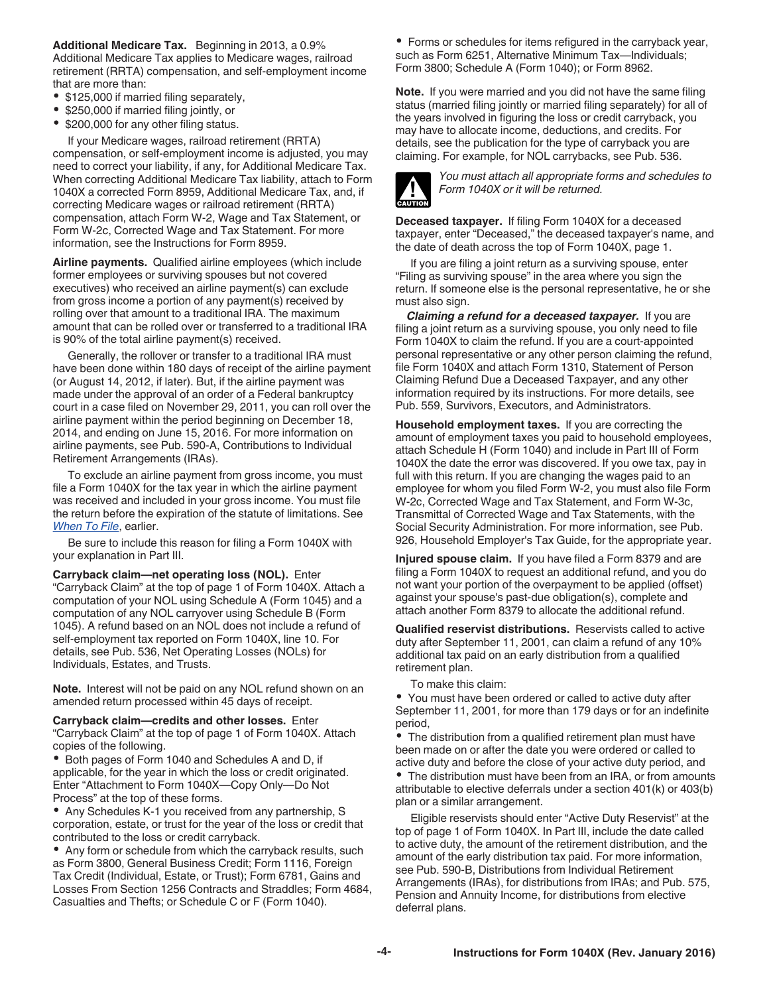<span id="page-3-0"></span>**Additional Medicare Tax.** Beginning in 2013, a 0.9% Additional Medicare Tax applies to Medicare wages, railroad retirement (RRTA) compensation, and self-employment income that are more than:

- \$125,000 if married filing separately,
- \$250,000 if married filing jointly, or
- \$200,000 for any other filing status.

If your Medicare wages, railroad retirement (RRTA) compensation, or self-employment income is adjusted, you may need to correct your liability, if any, for Additional Medicare Tax. When correcting Additional Medicare Tax liability, attach to Form 1040X a corrected Form 8959, Additional Medicare Tax, and, if correcting Medicare wages or railroad retirement (RRTA) compensation, attach Form W-2, Wage and Tax Statement, or Form W-2c, Corrected Wage and Tax Statement. For more information, see the Instructions for Form 8959.

**Airline payments.** Qualified airline employees (which include former employees or surviving spouses but not covered executives) who received an airline payment(s) can exclude from gross income a portion of any payment(s) received by rolling over that amount to a traditional IRA. The maximum amount that can be rolled over or transferred to a traditional IRA is 90% of the total airline payment(s) received.

Generally, the rollover or transfer to a traditional IRA must have been done within 180 days of receipt of the airline payment (or August 14, 2012, if later). But, if the airline payment was made under the approval of an order of a Federal bankruptcy court in a case filed on November 29, 2011, you can roll over the airline payment within the period beginning on December 18, 2014, and ending on June 15, 2016. For more information on airline payments, see Pub. 590-A, Contributions to Individual Retirement Arrangements (IRAs).

To exclude an airline payment from gross income, you must file a Form 1040X for the tax year in which the airline payment was received and included in your gross income. You must file the return before the expiration of the statute of limitations. See *[When To File](#page-1-0)*, earlier.

Be sure to include this reason for filing a Form 1040X with your explanation in Part III.

**Carryback claim—net operating loss (NOL).** Enter "Carryback Claim" at the top of page 1 of Form 1040X. Attach a computation of your NOL using Schedule A (Form 1045) and a computation of any NOL carryover using Schedule B (Form 1045). A refund based on an NOL does not include a refund of self-employment tax reported on Form 1040X, line 10. For details, see Pub. 536, Net Operating Losses (NOLs) for Individuals, Estates, and Trusts.

**Note.** Interest will not be paid on any NOL refund shown on an amended return processed within 45 days of receipt.

**Carryback claim—credits and other losses.** Enter "Carryback Claim" at the top of page 1 of Form 1040X. Attach copies of the following.

Both pages of Form 1040 and Schedules A and D, if applicable, for the year in which the loss or credit originated. Enter "Attachment to Form 1040X—Copy Only—Do Not Process" at the top of these forms.

Any Schedules K-1 you received from any partnership, S corporation, estate, or trust for the year of the loss or credit that contributed to the loss or credit carryback.

Any form or schedule from which the carryback results, such as Form 3800, General Business Credit; Form 1116, Foreign Tax Credit (Individual, Estate, or Trust); Form 6781, Gains and Losses From Section 1256 Contracts and Straddles; Form 4684, Casualties and Thefts; or Schedule C or F (Form 1040).

Forms or schedules for items refigured in the carryback year, such as Form 6251, Alternative Minimum Tax—Individuals; Form 3800; Schedule A (Form 1040); or Form 8962.

**Note.** If you were married and you did not have the same filing status (married filing jointly or married filing separately) for all of the years involved in figuring the loss or credit carryback, you may have to allocate income, deductions, and credits. For details, see the publication for the type of carryback you are claiming. For example, for NOL carrybacks, see Pub. 536.



*You must attach all appropriate forms and schedules to Form 1040X or it will be returned.*

**Deceased taxpayer.** If filing Form 1040X for a deceased taxpayer, enter "Deceased," the deceased taxpayer's name, and the date of death across the top of Form 1040X, page 1.

If you are filing a joint return as a surviving spouse, enter "Filing as surviving spouse" in the area where you sign the return. If someone else is the personal representative, he or she must also sign.

*Claiming a refund for a deceased taxpayer.* If you are filing a joint return as a surviving spouse, you only need to file Form 1040X to claim the refund. If you are a court-appointed personal representative or any other person claiming the refund, file Form 1040X and attach Form 1310, Statement of Person Claiming Refund Due a Deceased Taxpayer, and any other information required by its instructions. For more details, see Pub. 559, Survivors, Executors, and Administrators.

**Household employment taxes.** If you are correcting the amount of employment taxes you paid to household employees, attach Schedule H (Form 1040) and include in Part III of Form 1040X the date the error was discovered. If you owe tax, pay in full with this return. If you are changing the wages paid to an employee for whom you filed Form W-2, you must also file Form W-2c, Corrected Wage and Tax Statement, and Form W-3c, Transmittal of Corrected Wage and Tax Statements, with the Social Security Administration. For more information, see Pub. 926, Household Employer's Tax Guide, for the appropriate year.

**Injured spouse claim.** If you have filed a Form 8379 and are filing a Form 1040X to request an additional refund, and you do not want your portion of the overpayment to be applied (offset) against your spouse's past-due obligation(s), complete and attach another Form 8379 to allocate the additional refund.

**Qualified reservist distributions.** Reservists called to active duty after September 11, 2001, can claim a refund of any 10% additional tax paid on an early distribution from a qualified retirement plan.

To make this claim:

You must have been ordered or called to active duty after September 11, 2001, for more than 179 days or for an indefinite period,

The distribution from a qualified retirement plan must have been made on or after the date you were ordered or called to active duty and before the close of your active duty period, and The distribution must have been from an IRA, or from amounts attributable to elective deferrals under a section 401(k) or 403(b) plan or a similar arrangement.

Eligible reservists should enter "Active Duty Reservist" at the top of page 1 of Form 1040X. In Part III, include the date called to active duty, the amount of the retirement distribution, and the amount of the early distribution tax paid. For more information, see Pub. 590-B, Distributions from Individual Retirement Arrangements (IRAs), for distributions from IRAs; and Pub. 575, Pension and Annuity Income, for distributions from elective deferral plans.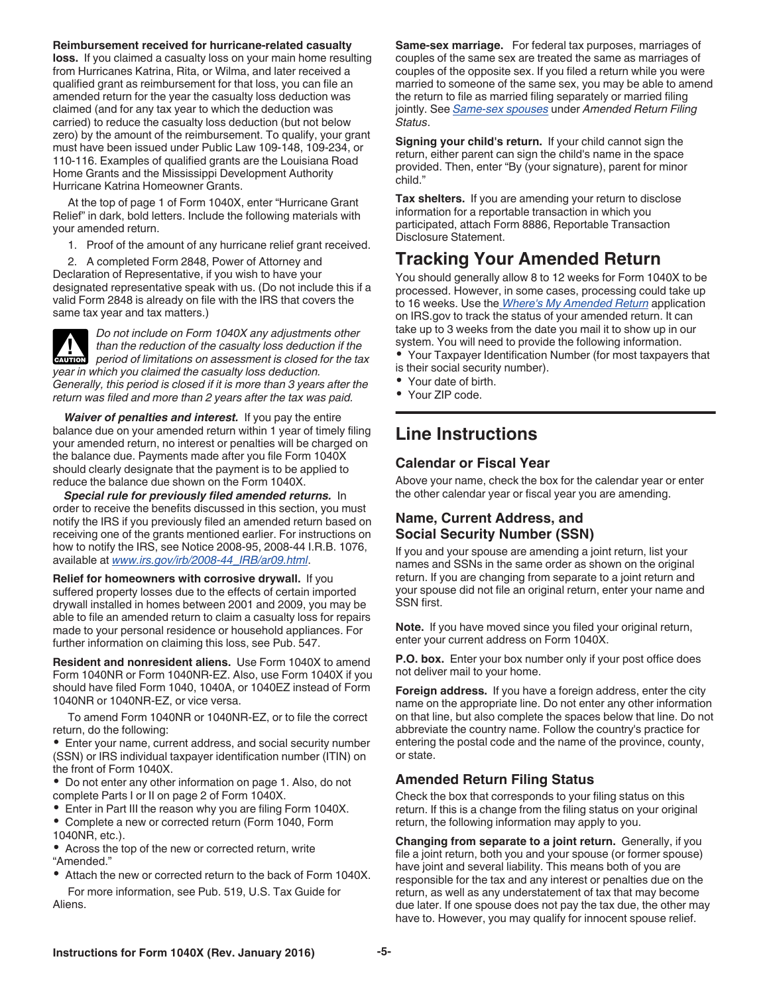<span id="page-4-0"></span>**Reimbursement received for hurricane-related casualty loss.** If you claimed a casualty loss on your main home resulting from Hurricanes Katrina, Rita, or Wilma, and later received a qualified grant as reimbursement for that loss, you can file an amended return for the year the casualty loss deduction was claimed (and for any tax year to which the deduction was carried) to reduce the casualty loss deduction (but not below zero) by the amount of the reimbursement. To qualify, your grant must have been issued under Public Law 109-148, 109-234, or 110-116. Examples of qualified grants are the Louisiana Road Home Grants and the Mississippi Development Authority Hurricane Katrina Homeowner Grants.

At the top of page 1 of Form 1040X, enter "Hurricane Grant Relief" in dark, bold letters. Include the following materials with your amended return.

- 1. Proof of the amount of any hurricane relief grant received.
- 2. A completed Form 2848, Power of Attorney and

Declaration of Representative, if you wish to have your designated representative speak with us. (Do not include this if a valid Form 2848 is already on file with the IRS that covers the same tax year and tax matters.)

*Do not include on Form 1040X any adjustments other than the reduction of the casualty loss deduction if the*  **Period of limitations on assessment is closed for the tax <b>cauTION** *year in which you claimed the casualty loss deduction. Generally, this period is closed if it is more than 3 years after the return was filed and more than 2 years after the tax was paid.*

*Waiver of penalties and interest.* If you pay the entire balance due on your amended return within 1 year of timely filing your amended return, no interest or penalties will be charged on the balance due. Payments made after you file Form 1040X should clearly designate that the payment is to be applied to reduce the balance due shown on the Form 1040X.

*Special rule for previously filed amended returns.* In order to receive the benefits discussed in this section, you must notify the IRS if you previously filed an amended return based on receiving one of the grants mentioned earlier. For instructions on how to notify the IRS, see Notice 2008-95, 2008-44 I.R.B. 1076, available at *[www.irs.gov/irb/2008-44\\_IRB/ar09.html](http://www.irs.gov/irb/2008-44_IRB/ar09.html)*.

**Relief for homeowners with corrosive drywall.** If you suffered property losses due to the effects of certain imported drywall installed in homes between 2001 and 2009, you may be able to file an amended return to claim a casualty loss for repairs made to your personal residence or household appliances. For further information on claiming this loss, see Pub. 547.

**Resident and nonresident aliens.** Use Form 1040X to amend Form 1040NR or Form 1040NR-EZ. Also, use Form 1040X if you should have filed Form 1040, 1040A, or 1040EZ instead of Form 1040NR or 1040NR-EZ, or vice versa.

To amend Form 1040NR or 1040NR-EZ, or to file the correct return, do the following:

Enter your name, current address, and social security number (SSN) or IRS individual taxpayer identification number (ITIN) on the front of Form 1040X.

Do not enter any other information on page 1. Also, do not complete Parts I or II on page 2 of Form 1040X.

- Enter in Part III the reason why you are filing Form 1040X.
- Complete a new or corrected return (Form 1040, Form
- 1040NR, etc.). Across the top of the new or corrected return, write "Amended."
- Attach the new or corrected return to the back of Form 1040X. For more information, see Pub. 519, U.S. Tax Guide for Aliens.

**Same-sex marriage.** For federal tax purposes, marriages of couples of the same sex are treated the same as marriages of couples of the opposite sex. If you filed a return while you were married to someone of the same sex, you may be able to amend the return to file as married filing separately or married filing jointly. See *[Same-sex spouses](#page-5-0)* under *Amended Return Filing Status*.

**Signing your child's return.** If your child cannot sign the return, either parent can sign the child's name in the space provided. Then, enter "By (your signature), parent for minor child."

**Tax shelters.** If you are amending your return to disclose information for a reportable transaction in which you participated, attach Form 8886, Reportable Transaction Disclosure Statement.

### **Tracking Your Amended Return**

You should generally allow 8 to 12 weeks for Form 1040X to be processed. However, in some cases, processing could take up to 16 weeks. Use the *[Where's My Amended Return](http://www.irs.gov/Filing/Individuals/Amended-Returns-(Form-1040-X)/Wheres-My-Amended-Return-1)* application on IRS.gov to track the status of your amended return. It can take up to 3 weeks from the date you mail it to show up in our system. You will need to provide the following information.

Your Taxpayer Identification Number (for most taxpayers that is their social security number).

- Your date of birth.
- Your ZIP code.

### **Line Instructions**

#### **Calendar or Fiscal Year**

Above your name, check the box for the calendar year or enter the other calendar year or fiscal year you are amending.

#### **Name, Current Address, and Social Security Number (SSN)**

If you and your spouse are amending a joint return, list your names and SSNs in the same order as shown on the original return. If you are changing from separate to a joint return and your spouse did not file an original return, enter your name and SSN first.

**Note.** If you have moved since you filed your original return, enter your current address on Form 1040X.

**P.O. box.** Enter your box number only if your post office does not deliver mail to your home.

**Foreign address.** If you have a foreign address, enter the city name on the appropriate line. Do not enter any other information on that line, but also complete the spaces below that line. Do not abbreviate the country name. Follow the country's practice for entering the postal code and the name of the province, county, or state.

#### **Amended Return Filing Status**

Check the box that corresponds to your filing status on this return. If this is a change from the filing status on your original return, the following information may apply to you.

**Changing from separate to a joint return.** Generally, if you file a joint return, both you and your spouse (or former spouse) have joint and several liability. This means both of you are responsible for the tax and any interest or penalties due on the return, as well as any understatement of tax that may become due later. If one spouse does not pay the tax due, the other may have to. However, you may qualify for innocent spouse relief.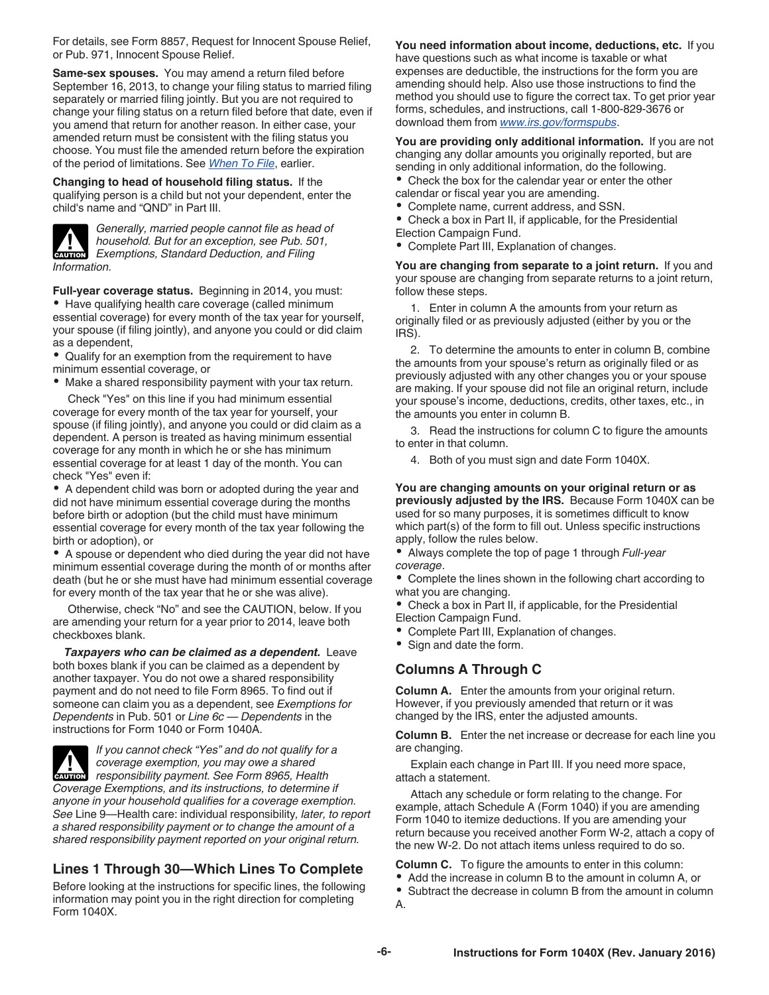<span id="page-5-0"></span>For details, see Form 8857, Request for Innocent Spouse Relief, or Pub. 971, Innocent Spouse Relief.

**Same-sex spouses.** You may amend a return filed before September 16, 2013, to change your filing status to married filing separately or married filing jointly. But you are not required to change your filing status on a return filed before that date, even if you amend that return for another reason. In either case, your amended return must be consistent with the filing status you choose. You must file the amended return before the expiration of the period of limitations. See *[When To File](#page-1-0)*, earlier.

**Changing to head of household filing status.** If the qualifying person is a child but not your dependent, enter the child's name and "QND" in Part III.



*Generally, married people cannot file as head of household. But for an exception, see Pub. 501, Exemptions, Standard Deduction, and Filing Information.*

**Full-year coverage status.** Beginning in 2014, you must: Have qualifying health care coverage (called minimum essential coverage) for every month of the tax year for yourself, your spouse (if filing jointly), and anyone you could or did claim as a dependent,

- Qualify for an exemption from the requirement to have minimum essential coverage, or
- Make a shared responsibility payment with your tax return.

Check "Yes" on this line if you had minimum essential coverage for every month of the tax year for yourself, your spouse (if filing jointly), and anyone you could or did claim as a dependent. A person is treated as having minimum essential coverage for any month in which he or she has minimum essential coverage for at least 1 day of the month. You can check "Yes" even if:

A dependent child was born or adopted during the year and did not have minimum essential coverage during the months before birth or adoption (but the child must have minimum essential coverage for every month of the tax year following the birth or adoption), or

A spouse or dependent who died during the year did not have minimum essential coverage during the month of or months after death (but he or she must have had minimum essential coverage for every month of the tax year that he or she was alive).

Otherwise, check "No" and see the CAUTION, below. If you are amending your return for a year prior to 2014, leave both checkboxes blank.

*Taxpayers who can be claimed as a dependent.* Leave both boxes blank if you can be claimed as a dependent by another taxpayer. You do not owe a shared responsibility payment and do not need to file Form 8965. To find out if someone can claim you as a dependent, see *Exemptions for Dependents* in Pub. 501 or *Line 6c — Dependents* in the instructions for Form 1040 or Form 1040A.



*If you cannot check "Yes" and do not qualify for a coverage exemption, you may owe a shared*  **Proponsibility payment. See Form 8965, Health <b>Proponsibility payment. See Form 8965, Health** *Coverage Exemptions, and its instructions, to determine if anyone in your household qualifies for a coverage exemption.* 

*See* Line 9—Health care: individual responsibility*, later, to report a shared responsibility payment or to change the amount of a shared responsibility payment reported on your original return.*

### **Lines 1 Through 30—Which Lines To Complete**

Before looking at the instructions for specific lines, the following information may point you in the right direction for completing Form 1040X.

**You need information about income, deductions, etc.** If you have questions such as what income is taxable or what expenses are deductible, the instructions for the form you are amending should help. Also use those instructions to find the method you should use to figure the correct tax. To get prior year forms, schedules, and instructions, call 1-800-829-3676 or download them from *[www.irs.gov/formspubs](http://www.irs.gov/formspubs)*.

**You are providing only additional information.** If you are not changing any dollar amounts you originally reported, but are sending in only additional information, do the following.

Check the box for the calendar year or enter the other calendar or fiscal year you are amending.

Complete name, current address, and SSN.

Check a box in Part II, if applicable, for the Presidential Election Campaign Fund.

Complete Part III, Explanation of changes.

**You are changing from separate to a joint return.** If you and your spouse are changing from separate returns to a joint return, follow these steps.

1. Enter in column A the amounts from your return as originally filed or as previously adjusted (either by you or the IRS).

2. To determine the amounts to enter in column B, combine the amounts from your spouse's return as originally filed or as previously adjusted with any other changes you or your spouse are making. If your spouse did not file an original return, include your spouse's income, deductions, credits, other taxes, etc., in the amounts you enter in column B.

3. Read the instructions for column C to figure the amounts to enter in that column.

4. Both of you must sign and date Form 1040X.

**You are changing amounts on your original return or as previously adjusted by the IRS.** Because Form 1040X can be used for so many purposes, it is sometimes difficult to know which part(s) of the form to fill out. Unless specific instructions apply, follow the rules below.

Always complete the top of page 1 through *Full-year coverage*.

Complete the lines shown in the following chart according to what you are changing.

- Check a box in Part II, if applicable, for the Presidential Election Campaign Fund.
- Complete Part III, Explanation of changes.
- Sign and date the form.

#### **Columns A Through C**

**Column A.** Enter the amounts from your original return. However, if you previously amended that return or it was changed by the IRS, enter the adjusted amounts.

**Column B.** Enter the net increase or decrease for each line you are changing.

Explain each change in Part III. If you need more space, attach a statement.

Attach any schedule or form relating to the change. For example, attach Schedule A (Form 1040) if you are amending Form 1040 to itemize deductions. If you are amending your return because you received another Form W-2, attach a copy of the new W-2. Do not attach items unless required to do so.

**Column C.** To figure the amounts to enter in this column:

- Add the increase in column B to the amount in column A, or
- Subtract the decrease in column B from the amount in column A.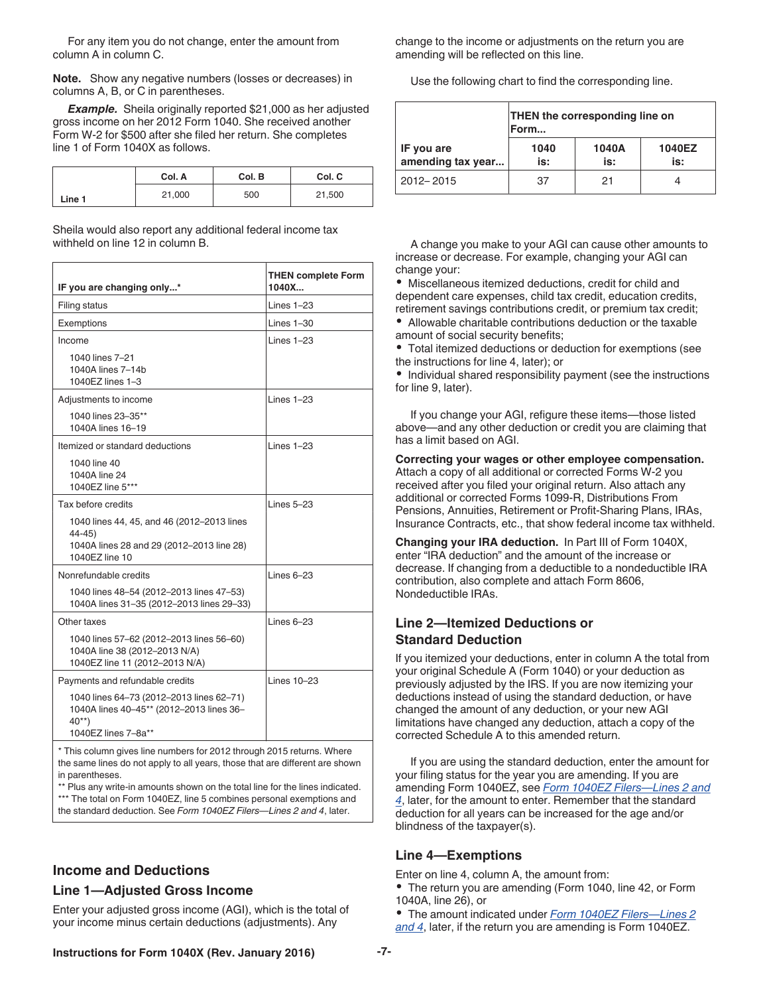<span id="page-6-0"></span>For any item you do not change, enter the amount from column A in column C.

**Note.** Show any negative numbers (losses or decreases) in columns A, B, or C in parentheses.

*Example.* Sheila originally reported \$21,000 as her adjusted gross income on her 2012 Form 1040. She received another Form W-2 for \$500 after she filed her return. She completes line 1 of Form 1040X as follows.

|        | Col. A | Col. B | Col. C |
|--------|--------|--------|--------|
| Line 1 | 21,000 | 500    | 21,500 |

Sheila would also report any additional federal income tax withheld on line 12 in column B.

| IF you are changing only*                                                                                             | <b>THEN complete Form</b><br>1040X |
|-----------------------------------------------------------------------------------------------------------------------|------------------------------------|
| Filing status                                                                                                         | Lines $1-23$                       |
| Exemptions                                                                                                            | Lines $1-30$                       |
| Income                                                                                                                | Lines $1-23$                       |
| 1040 lines 7-21<br>1040A lines 7-14b<br>1040EZ lines 1-3                                                              |                                    |
| Adjustments to income                                                                                                 | Lines $1-23$                       |
| 1040 lines 23-35**<br>1040A lines 16-19                                                                               |                                    |
| Itemized or standard deductions                                                                                       | $l$ ines $1-23$                    |
| 1040 line 40<br>1040A line 24<br>1040EZ line 5***                                                                     |                                    |
| Tax before credits                                                                                                    | $l$ ines $5-23$                    |
| 1040 lines 44, 45, and 46 (2012-2013 lines<br>44-45)<br>1040A lines 28 and 29 (2012-2013 line 28)<br>1040EZ line 10   |                                    |
| Nonrefundable credits                                                                                                 | Lines $6-23$                       |
| 1040 lines 48-54 (2012-2013 lines 47-53)<br>1040A lines 31-35 (2012-2013 lines 29-33)                                 |                                    |
| Other taxes                                                                                                           | $l$ ines $6-23$                    |
| 1040 lines 57-62 (2012-2013 lines 56-60)<br>1040A line 38 (2012-2013 N/A)<br>1040EZ line 11 (2012-2013 N/A)           |                                    |
| Payments and refundable credits                                                                                       | $l$ ines $10-23$                   |
| 1040 lines 64-73 (2012-2013 lines 62-71)<br>1040A lines 40-45** (2012-2013 lines 36-<br>$40**$<br>1040EZ lines 7-8a** |                                    |

\* This column gives line numbers for 2012 through 2015 returns. Where the same lines do not apply to all years, those that are different are shown in parentheses.

\*\* Plus any write-in amounts shown on the total line for the lines indicated. \*\*\* The total on Form 1040EZ, line 5 combines personal exemptions and the standard deduction. See *Form 1040EZ Filers—Lines 2 and 4*, later.

**Income and Deductions**

#### **Line 1—Adjusted Gross Income**

Enter your adjusted gross income (AGI), which is the total of your income minus certain deductions (adjustments). Any

change to the income or adjustments on the return you are amending will be reflected on this line.

Use the following chart to find the corresponding line.

|                                 | <b>THEN the corresponding line on</b><br>Form |    |  |  |  |  |  |
|---------------------------------|-----------------------------------------------|----|--|--|--|--|--|
| IF you are<br>amending tax year | 1040A<br>1040EZ<br>1040<br>is:<br>is:<br>is:  |    |  |  |  |  |  |
| 2012-2015                       | 37                                            | 21 |  |  |  |  |  |

A change you make to your AGI can cause other amounts to increase or decrease. For example, changing your AGI can change your:

Miscellaneous itemized deductions, credit for child and dependent care expenses, child tax credit, education credits, retirement savings contributions credit, or premium tax credit;

Allowable charitable contributions deduction or the taxable amount of social security benefits;

Total itemized deductions or deduction for exemptions (see the instructions for line 4, later); or

• Individual shared responsibility payment (see the instructions for line 9, later).

If you change your AGI, refigure these items—those listed above—and any other deduction or credit you are claiming that has a limit based on AGI.

**Correcting your wages or other employee compensation.**  Attach a copy of all additional or corrected Forms W-2 you received after you filed your original return. Also attach any additional or corrected Forms 1099-R, Distributions From Pensions, Annuities, Retirement or Profit-Sharing Plans, IRAs, Insurance Contracts, etc., that show federal income tax withheld.

**Changing your IRA deduction.** In Part III of Form 1040X, enter "IRA deduction" and the amount of the increase or decrease. If changing from a deductible to a nondeductible IRA contribution, also complete and attach Form 8606, Nondeductible IRAs.

#### **Line 2—Itemized Deductions or Standard Deduction**

If you itemized your deductions, enter in column A the total from your original Schedule A (Form 1040) or your deduction as previously adjusted by the IRS. If you are now itemizing your deductions instead of using the standard deduction, or have changed the amount of any deduction, or your new AGI limitations have changed any deduction, attach a copy of the corrected Schedule A to this amended return.

If you are using the standard deduction, enter the amount for your filing status for the year you are amending. If you are amending Form 1040EZ, see *[Form 1040EZ Filers—Lines 2 and](#page-7-0)  [4](#page-7-0)*, later, for the amount to enter. Remember that the standard deduction for all years can be increased for the age and/or blindness of the taxpayer(s).

#### **Line 4—Exemptions**

Enter on line 4, column A, the amount from:

The return you are amending (Form 1040, line 42, or Form 1040A, line 26), or

The amount indicated under *[Form 1040EZ Filers—Lines 2](#page-7-0) [and 4](#page-7-0)*, later, if the return you are amending is Form 1040EZ.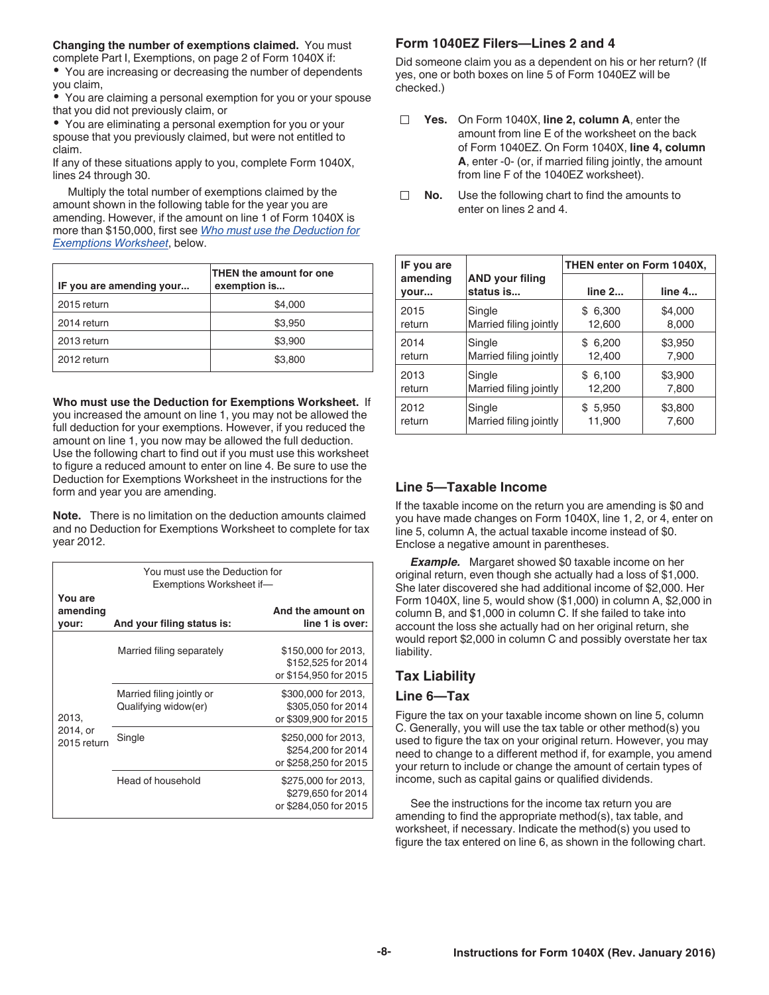<span id="page-7-0"></span>**Changing the number of exemptions claimed.** You must complete Part I, Exemptions, on page 2 of Form 1040X if:

You are increasing or decreasing the number of dependents you claim,

You are claiming a personal exemption for you or your spouse that you did not previously claim, or

You are eliminating a personal exemption for you or your spouse that you previously claimed, but were not entitled to claim.

If any of these situations apply to you, complete Form 1040X, lines 24 through 30.

Multiply the total number of exemptions claimed by the amount shown in the following table for the year you are amending. However, if the amount on line 1 of Form 1040X is more than \$150,000, first see *Who must use the Deduction for Exemptions Worksheet*, below.

| IF you are amending your | THEN the amount for one<br>exemption is |  |  |
|--------------------------|-----------------------------------------|--|--|
| 2015 return              | \$4,000                                 |  |  |
| 2014 return              | \$3,950                                 |  |  |
| 2013 return              | \$3,900                                 |  |  |
| 2012 return              | \$3,800                                 |  |  |

**Who must use the Deduction for Exemptions Worksheet.** If you increased the amount on line 1, you may not be allowed the full deduction for your exemptions. However, if you reduced the amount on line 1, you now may be allowed the full deduction. Use the following chart to find out if you must use this worksheet to figure a reduced amount to enter on line 4. Be sure to use the Deduction for Exemptions Worksheet in the instructions for the form and year you are amending.

**Note.** There is no limitation on the deduction amounts claimed and no Deduction for Exemptions Worksheet to complete for tax year 2012.

| You must use the Deduction for<br>Exemptions Worksheet if- |                                                   |                                                                    |  |  |
|------------------------------------------------------------|---------------------------------------------------|--------------------------------------------------------------------|--|--|
| You are<br>amending<br>your:                               | And your filing status is:                        | And the amount on<br>line 1 is over:                               |  |  |
|                                                            | Married filing separately                         | \$150,000 for 2013,<br>\$152,525 for 2014<br>or \$154,950 for 2015 |  |  |
| 2013,                                                      | Married filing jointly or<br>Qualifying widow(er) | \$300,000 for 2013,<br>\$305,050 for 2014<br>or \$309,900 for 2015 |  |  |
| 2014, or<br>2015 return                                    | Single                                            | \$250,000 for 2013,<br>\$254,200 for 2014<br>or \$258,250 for 2015 |  |  |
|                                                            | Head of household                                 | \$275,000 for 2013,<br>\$279,650 for 2014<br>or \$284.050 for 2015 |  |  |

#### **Form 1040EZ Filers—Lines 2 and 4**

Did someone claim you as a dependent on his or her return? (If yes, one or both boxes on line 5 of Form 1040EZ will be checked.)

- **Yes.** On Form 1040X, **line 2, column A**, enter the amount from line E of the worksheet on the back of Form 1040EZ. On Form 1040X, **line 4, column A**, enter -0- (or, if married filing jointly, the amount from line F of the 1040EZ worksheet).
- **No.** Use the following chart to find the amounts to enter on lines 2 and 4.

| IF you are       |                                     | THEN enter on Form 1040X, |         |  |
|------------------|-------------------------------------|---------------------------|---------|--|
| amending<br>vour | <b>AND your filing</b><br>status is | line 2                    | line 4  |  |
| 2015             | Single                              | \$6,300                   | \$4,000 |  |
| return           | Married filing jointly              | 12,600                    | 8,000   |  |
| 2014             | Single                              | \$6,200                   | \$3,950 |  |
| return           | Married filing jointly              | 12.400                    | 7,900   |  |
| 2013             | Single                              | \$6,100                   | \$3,900 |  |
| return           | Married filing jointly              | 12,200                    | 7,800   |  |
| 2012             | Single                              | \$5,950                   | \$3,800 |  |
| return           | Married filing jointly              | 11,900                    | 7,600   |  |

#### **Line 5—Taxable Income**

If the taxable income on the return you are amending is \$0 and you have made changes on Form 1040X, line 1, 2, or 4, enter on line 5, column A, the actual taxable income instead of \$0. Enclose a negative amount in parentheses.

**Example.** Margaret showed \$0 taxable income on her original return, even though she actually had a loss of \$1,000. She later discovered she had additional income of \$2,000. Her Form 1040X, line 5, would show (\$1,000) in column A, \$2,000 in column B, and \$1,000 in column C. If she failed to take into account the loss she actually had on her original return, she would report \$2,000 in column C and possibly overstate her tax liability.

#### **Tax Liability**

#### **Line 6—Tax**

Figure the tax on your taxable income shown on line 5, column C. Generally, you will use the tax table or other method(s) you used to figure the tax on your original return. However, you may need to change to a different method if, for example, you amend your return to include or change the amount of certain types of income, such as capital gains or qualified dividends.

See the instructions for the income tax return you are amending to find the appropriate method(s), tax table, and worksheet, if necessary. Indicate the method(s) you used to figure the tax entered on line 6, as shown in the following chart.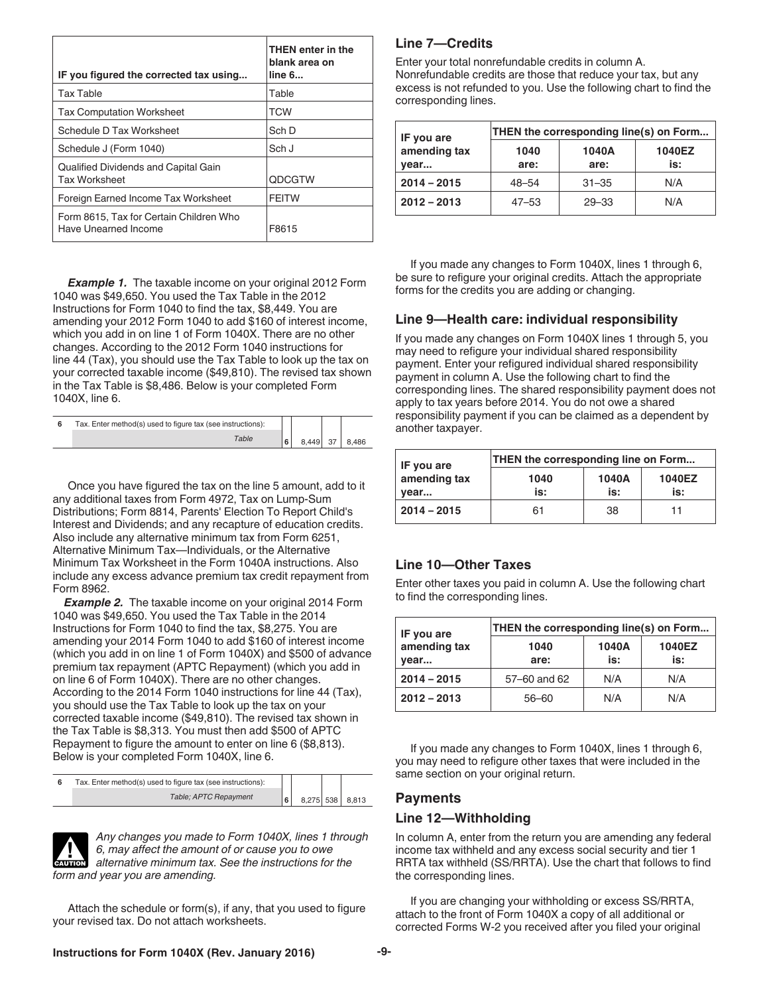<span id="page-8-0"></span>

| IF you figured the corrected tax using                          | THEN enter in the<br>blank area on<br>line 6 |
|-----------------------------------------------------------------|----------------------------------------------|
| <b>Tax Table</b>                                                | Table                                        |
| <b>Tax Computation Worksheet</b>                                | <b>TCW</b>                                   |
| Schedule D Tax Worksheet                                        | Sch D                                        |
| Schedule J (Form 1040)                                          | Sch J                                        |
| Qualified Dividends and Capital Gain<br><b>Tax Worksheet</b>    | <b>ODCGTW</b>                                |
| Foreign Earned Income Tax Worksheet                             | <b>FEITW</b>                                 |
| Form 8615, Tax for Certain Children Who<br>Have Unearned Income | F8615                                        |

**Example 1.** The taxable income on your original 2012 Form 1040 was \$49,650. You used the Tax Table in the 2012 Instructions for Form 1040 to find the tax, \$8,449. You are amending your 2012 Form 1040 to add \$160 of interest income, which you add in on line 1 of Form 1040X. There are no other changes. According to the 2012 Form 1040 instructions for line 44 (Tax), you should use the Tax Table to look up the tax on your corrected taxable income (\$49,810). The revised tax shown in the Tax Table is \$8,486. Below is your completed Form 1040X, line 6.

| Tax. Enter method(s) used to figure tax (see instructions): |    |       |    |       |
|-------------------------------------------------------------|----|-------|----|-------|
| Table                                                       | ١ĥ | 8.449 | 37 | 8.486 |

Once you have figured the tax on the line 5 amount, add to it any additional taxes from Form 4972, Tax on Lump-Sum Distributions; Form 8814, Parents' Election To Report Child's Interest and Dividends; and any recapture of education credits. Also include any alternative minimum tax from Form 6251, Alternative Minimum Tax—Individuals, or the Alternative Minimum Tax Worksheet in the Form 1040A instructions. Also include any excess advance premium tax credit repayment from Form 8962.

**Example 2.** The taxable income on your original 2014 Form 1040 was \$49,650. You used the Tax Table in the 2014 Instructions for Form 1040 to find the tax, \$8,275. You are amending your 2014 Form 1040 to add \$160 of interest income (which you add in on line 1 of Form 1040X) and \$500 of advance premium tax repayment (APTC Repayment) (which you add in on line 6 of Form 1040X). There are no other changes. According to the 2014 Form 1040 instructions for line 44 (Tax), you should use the Tax Table to look up the tax on your corrected taxable income (\$49,810). The revised tax shown in the Tax Table is \$8,313. You must then add \$500 of APTC Repayment to figure the amount to enter on line 6 (\$8,813). Below is your completed Form 1040X, line 6.

| Tax. Enter method(s) used to figure tax (see instructions): |  |                 |
|-------------------------------------------------------------|--|-----------------|
| Table; APTC Repayment                                       |  | 8,275 538 8,813 |



*Any changes you made to Form 1040X, lines 1 through 6, may affect the amount of or cause you to owe*  **2** 6, may affect the amount of or cause you to owe alternative minimum tax. See the instructions for the *form and year you are amending.*

Attach the schedule or form(s), if any, that you used to figure your revised tax. Do not attach worksheets.

#### **Line 7—Credits**

Enter your total nonrefundable credits in column A. Nonrefundable credits are those that reduce your tax, but any excess is not refunded to you. Use the following chart to find the corresponding lines.

| IF you are           | THEN the corresponding line(s) on Form |               |               |  |
|----------------------|----------------------------------------|---------------|---------------|--|
| amending tax<br>vear | 1040<br>are:                           | 1040A<br>are: | 1040EZ<br>is: |  |
| $2014 - 2015$        | $48 - 54$                              | $31 - 35$     | N/A           |  |
| $2012 - 2013$        | $47 - 53$                              | $29 - 33$     | N/A           |  |

If you made any changes to Form 1040X, lines 1 through 6, be sure to refigure your original credits. Attach the appropriate forms for the credits you are adding or changing.

#### **Line 9—Health care: individual responsibility**

If you made any changes on Form 1040X lines 1 through 5, you may need to refigure your individual shared responsibility payment. Enter your refigured individual shared responsibility payment in column A. Use the following chart to find the corresponding lines. The shared responsibility payment does not apply to tax years before 2014. You do not owe a shared responsibility payment if you can be claimed as a dependent by another taxpayer.

| IF you are           | THEN the corresponding line on Form |              |               |
|----------------------|-------------------------------------|--------------|---------------|
| amending tax<br>vear | 1040<br>is:                         | 1040A<br>is: | 1040EZ<br>is: |
| $2014 - 2015$        | 61                                  | 38           | 11            |

#### **Line 10—Other Taxes**

Enter other taxes you paid in column A. Use the following chart to find the corresponding lines.

| IF you are           | THEN the corresponding line(s) on Form |              |               |
|----------------------|----------------------------------------|--------------|---------------|
| amending tax<br>vear | 1040<br>are:                           | 1040A<br>is: | 1040EZ<br>is: |
| $2014 - 2015$        | 57–60 and 62                           | N/A          | N/A           |
| $2012 - 2013$        | $56 - 60$                              | N/A          | N/A           |

If you made any changes to Form 1040X, lines 1 through 6, you may need to refigure other taxes that were included in the same section on your original return.

#### **Payments**

#### **Line 12—Withholding**

In column A, enter from the return you are amending any federal income tax withheld and any excess social security and tier 1 RRTA tax withheld (SS/RRTA). Use the chart that follows to find the corresponding lines.

If you are changing your withholding or excess SS/RRTA, attach to the front of Form 1040X a copy of all additional or corrected Forms W-2 you received after you filed your original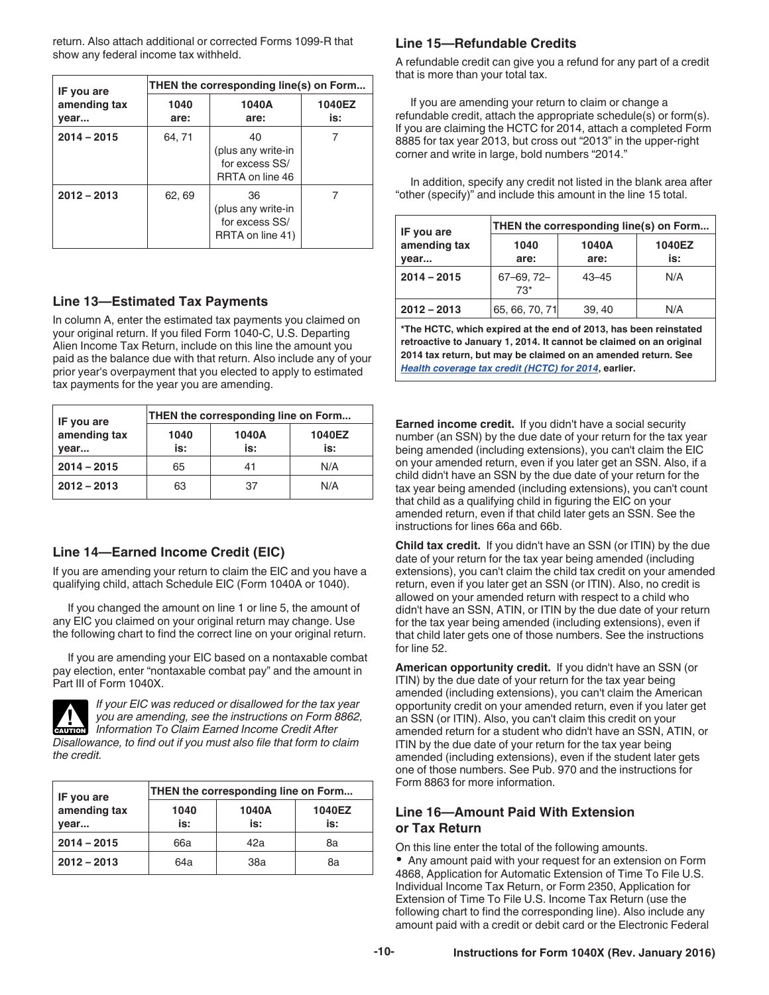<span id="page-9-0"></span>return. Also attach additional or corrected Forms 1099-R that show any federal income tax withheld.

| IF you are           |              | THEN the corresponding line(s) on Form                         |               |
|----------------------|--------------|----------------------------------------------------------------|---------------|
| amending tax<br>year | 1040<br>are: | 1040A<br>are:                                                  | 1040EZ<br>is: |
| $2014 - 2015$        | 64.71        | 40<br>(plus any write-in<br>for excess SS/<br>RRTA on line 46  |               |
| $2012 - 2013$        | 62, 69       | 36<br>(plus any write-in<br>for excess SS/<br>RRTA on line 41) |               |

#### **Line 13—Estimated Tax Payments**

In column A, enter the estimated tax payments you claimed on your original return. If you filed Form 1040-C, U.S. Departing Alien Income Tax Return, include on this line the amount you paid as the balance due with that return. Also include any of your prior year's overpayment that you elected to apply to estimated tax payments for the year you are amending.

| IF you are           | THEN the corresponding line on Form |              |               |
|----------------------|-------------------------------------|--------------|---------------|
| amending tax<br>vear | 1040<br>is:                         | 1040A<br>is: | 1040EZ<br>is: |
| $2014 - 2015$        | 65                                  | 41           | N/A           |
| $2012 - 2013$        | 63                                  | 37           | N/A           |

#### **Line 14—Earned Income Credit (EIC)**

If you are amending your return to claim the EIC and you have a qualifying child, attach Schedule EIC (Form 1040A or 1040).

If you changed the amount on line 1 or line 5, the amount of any EIC you claimed on your original return may change. Use the following chart to find the correct line on your original return.

If you are amending your EIC based on a nontaxable combat pay election, enter "nontaxable combat pay" and the amount in Part III of Form 1040X.



*If your EIC was reduced or disallowed for the tax year you are amending, see the instructions on Form 8862, Information To Claim Earned Income Credit After Disallowance, to find out if you must also file that form to claim the credit.*

| IF you are           | THEN the corresponding line on Form |              |               |
|----------------------|-------------------------------------|--------------|---------------|
| amending tax<br>vear | 1040<br>is:                         | 1040A<br>is: | 1040EZ<br>is: |
| $2014 - 2015$        | 66a                                 | 42а          | 8a            |
| $2012 - 2013$        | 64a                                 | 38a          | 8а            |

#### **Line 15—Refundable Credits**

A refundable credit can give you a refund for any part of a credit that is more than your total tax.

If you are amending your return to claim or change a refundable credit, attach the appropriate schedule(s) or form(s). If you are claiming the HCTC for 2014, attach a completed Form 8885 for tax year 2013, but cross out "2013" in the upper-right corner and write in large, bold numbers "2014."

In addition, specify any credit not listed in the blank area after "other (specify)" and include this amount in the line 15 total.

| IF you are           | THEN the corresponding line(s) on Form |               |               |
|----------------------|----------------------------------------|---------------|---------------|
| amending tax<br>vear | 1040<br>are:                           | 1040A<br>are: | 1040EZ<br>is: |
| $2014 - 2015$        | $67 - 69, 72 -$<br>$73*$               | $43 - 45$     | N/A           |
| $2012 - 2013$        | 65, 66, 70, 71                         | 39, 40        | N/A           |

**\*The HCTC, which expired at the end of 2013, has been reinstated retroactive to January 1, 2014. It cannot be claimed on an original 2014 tax return, but may be claimed on an amended return. See**  *[Health coverage tax credit \(HCTC\) for 2014](#page-2-0)***, earlier.**

**Earned income credit.** If you didn't have a social security number (an SSN) by the due date of your return for the tax year being amended (including extensions), you can't claim the EIC on your amended return, even if you later get an SSN. Also, if a child didn't have an SSN by the due date of your return for the tax year being amended (including extensions), you can't count that child as a qualifying child in figuring the EIC on your amended return, even if that child later gets an SSN. See the instructions for lines 66a and 66b.

**Child tax credit.** If you didn't have an SSN (or ITIN) by the due date of your return for the tax year being amended (including extensions), you can't claim the child tax credit on your amended return, even if you later get an SSN (or ITIN). Also, no credit is allowed on your amended return with respect to a child who didn't have an SSN, ATIN, or ITIN by the due date of your return for the tax year being amended (including extensions), even if that child later gets one of those numbers. See the instructions for line 52.

**American opportunity credit.** If you didn't have an SSN (or ITIN) by the due date of your return for the tax year being amended (including extensions), you can't claim the American opportunity credit on your amended return, even if you later get an SSN (or ITIN). Also, you can't claim this credit on your amended return for a student who didn't have an SSN, ATIN, or ITIN by the due date of your return for the tax year being amended (including extensions), even if the student later gets one of those numbers. See Pub. 970 and the instructions for Form 8863 for more information.

#### **Line 16—Amount Paid With Extension or Tax Return**

On this line enter the total of the following amounts. Any amount paid with your request for an extension on Form 4868, Application for Automatic Extension of Time To File U.S. Individual Income Tax Return, or Form 2350, Application for Extension of Time To File U.S. Income Tax Return (use the following chart to find the corresponding line). Also include any amount paid with a credit or debit card or the Electronic Federal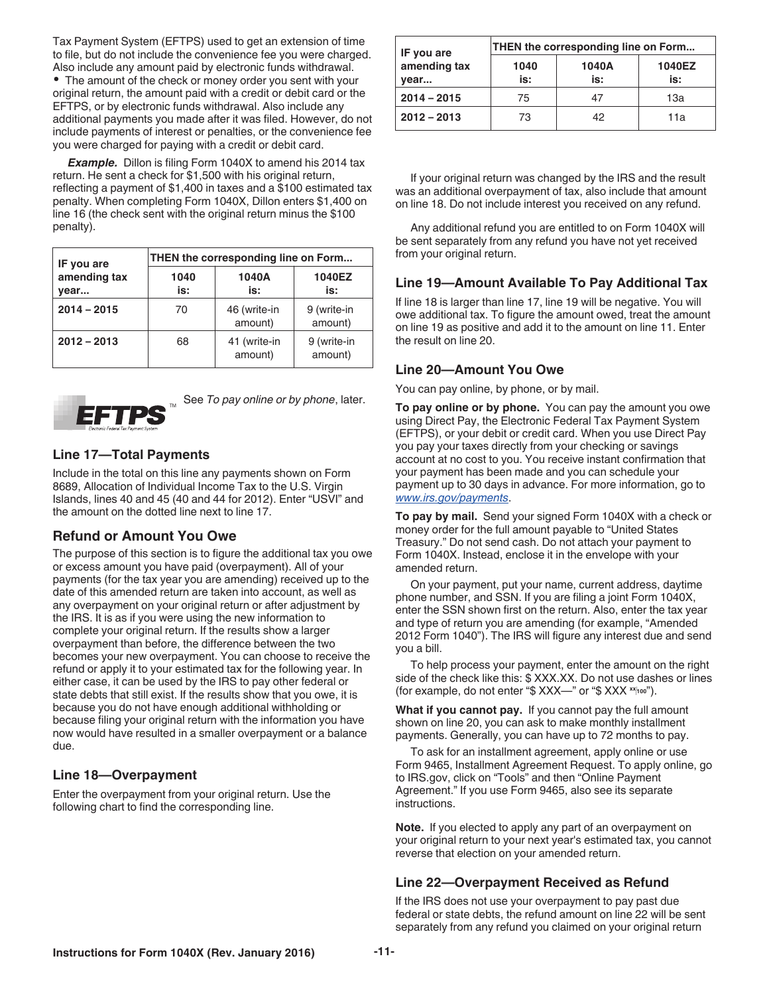<span id="page-10-0"></span>Tax Payment System (EFTPS) used to get an extension of time to file, but do not include the convenience fee you were charged. Also include any amount paid by electronic funds withdrawal.

The amount of the check or money order you sent with your original return, the amount paid with a credit or debit card or the EFTPS, or by electronic funds withdrawal. Also include any additional payments you made after it was filed. However, do not include payments of interest or penalties, or the convenience fee you were charged for paying with a credit or debit card.

**Example.** Dillon is filing Form 1040X to amend his 2014 tax return. He sent a check for \$1,500 with his original return, reflecting a payment of \$1,400 in taxes and a \$100 estimated tax penalty. When completing Form 1040X, Dillon enters \$1,400 on line 16 (the check sent with the original return minus the \$100 penalty).

| IF you are           | THEN the corresponding line on Form |                         |                        |
|----------------------|-------------------------------------|-------------------------|------------------------|
| amending tax<br>vear | 1040<br>is:                         | 1040A<br>is:            | 1040EZ<br>is:          |
| $2014 - 2015$        | 70                                  | 46 (write-in<br>amount) | 9 (write-in<br>amount) |
| $2012 - 2013$        | 68                                  | 41 (write-in<br>amount) | 9 (write-in<br>amount) |



See *To pay online or by phone*, later.

#### **Line 17—Total Payments**

Include in the total on this line any payments shown on Form 8689, Allocation of Individual Income Tax to the U.S. Virgin Islands, lines 40 and 45 (40 and 44 for 2012). Enter "USVI" and the amount on the dotted line next to line 17.

#### **Refund or Amount You Owe**

The purpose of this section is to figure the additional tax you owe or excess amount you have paid (overpayment). All of your payments (for the tax year you are amending) received up to the date of this amended return are taken into account, as well as any overpayment on your original return or after adjustment by the IRS. It is as if you were using the new information to complete your original return. If the results show a larger overpayment than before, the difference between the two becomes your new overpayment. You can choose to receive the refund or apply it to your estimated tax for the following year. In either case, it can be used by the IRS to pay other federal or state debts that still exist. If the results show that you owe, it is because you do not have enough additional withholding or because filing your original return with the information you have now would have resulted in a smaller overpayment or a balance due.

#### **Line 18—Overpayment**

Enter the overpayment from your original return. Use the following chart to find the corresponding line.

| IF you are           | THEN the corresponding line on Form |              |               |
|----------------------|-------------------------------------|--------------|---------------|
| amending tax<br>vear | 1040<br>is:                         | 1040A<br>is: | 1040EZ<br>is: |
| $2014 - 2015$        | 75                                  | 47           | 13а           |
| $2012 - 2013$        | 73                                  | 42           | 11a           |

If your original return was changed by the IRS and the result was an additional overpayment of tax, also include that amount on line 18. Do not include interest you received on any refund.

Any additional refund you are entitled to on Form 1040X will be sent separately from any refund you have not yet received from your original return.

#### **Line 19—Amount Available To Pay Additional Tax**

If line 18 is larger than line 17, line 19 will be negative. You will owe additional tax. To figure the amount owed, treat the amount on line 19 as positive and add it to the amount on line 11. Enter the result on line 20.

#### **Line 20—Amount You Owe**

You can pay online, by phone, or by mail.

**To pay online or by phone.** You can pay the amount you owe using Direct Pay, the Electronic Federal Tax Payment System (EFTPS), or your debit or credit card. When you use Direct Pay you pay your taxes directly from your checking or savings account at no cost to you. You receive instant confirmation that your payment has been made and you can schedule your payment up to 30 days in advance. For more information, go to *[www.irs.gov/payments](http://www.irs.gov/Payments)*.

**To pay by mail.** Send your signed Form 1040X with a check or money order for the full amount payable to "United States Treasury." Do not send cash. Do not attach your payment to Form 1040X. Instead, enclose it in the envelope with your amended return.

On your payment, put your name, current address, daytime phone number, and SSN. If you are filing a joint Form 1040X, enter the SSN shown first on the return. Also, enter the tax year and type of return you are amending (for example, "Amended 2012 Form 1040"). The IRS will figure any interest due and send you a bill.

To help process your payment, enter the amount on the right side of the check like this: \$ XXX.XX. Do not use dashes or lines (for example, do not enter "\$ XXX—" or "\$ XXX **xx100**").

**What if you cannot pay.** If you cannot pay the full amount shown on line 20, you can ask to make monthly installment payments. Generally, you can have up to 72 months to pay.

To ask for an installment agreement, apply online or use Form 9465, Installment Agreement Request. To apply online, go to IRS.gov, click on "Tools" and then "Online Payment Agreement." If you use Form 9465, also see its separate instructions.

**Note.** If you elected to apply any part of an overpayment on your original return to your next year's estimated tax, you cannot reverse that election on your amended return.

#### **Line 22—Overpayment Received as Refund**

If the IRS does not use your overpayment to pay past due federal or state debts, the refund amount on line 22 will be sent separately from any refund you claimed on your original return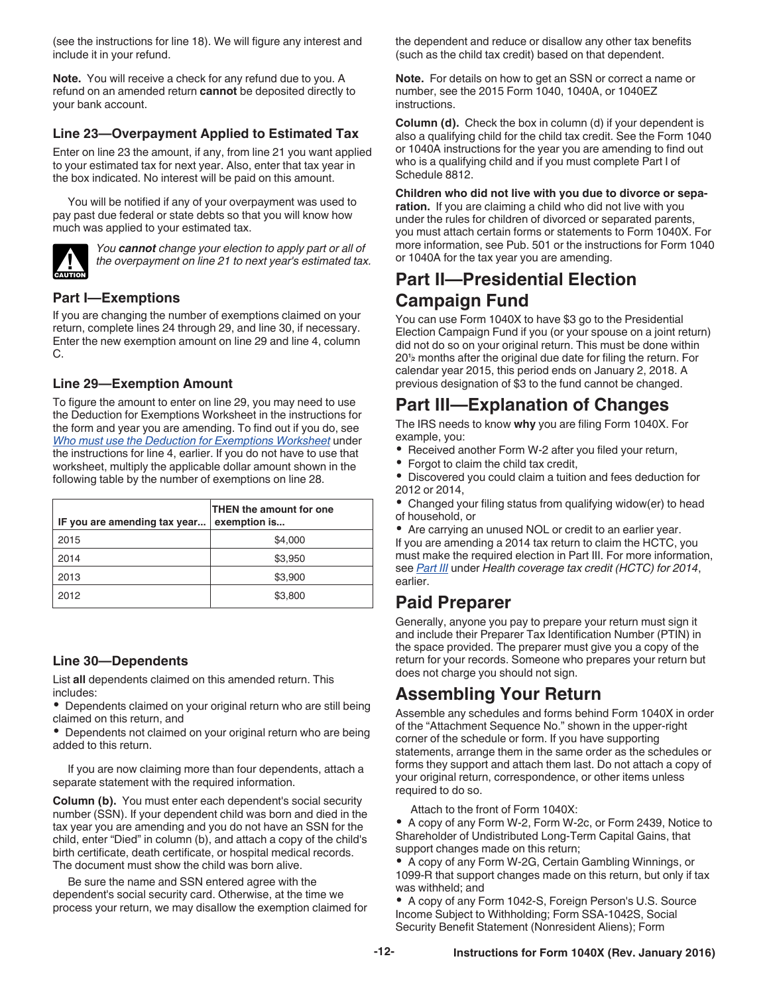<span id="page-11-0"></span>(see the instructions for line 18). We will figure any interest and include it in your refund.

**Note.** You will receive a check for any refund due to you. A refund on an amended return **cannot** be deposited directly to your bank account.

#### **Line 23—Overpayment Applied to Estimated Tax**

Enter on line 23 the amount, if any, from line 21 you want applied to your estimated tax for next year. Also, enter that tax year in the box indicated. No interest will be paid on this amount.

You will be notified if any of your overpayment was used to pay past due federal or state debts so that you will know how much was applied to your estimated tax.



*You cannot change your election to apply part or all of the overpayment on line 21 to next year's estimated tax.*

#### **Part I—Exemptions**

If you are changing the number of exemptions claimed on your return, complete lines 24 through 29, and line 30, if necessary. Enter the new exemption amount on line 29 and line 4, column C.

#### **Line 29—Exemption Amount**

To figure the amount to enter on line 29, you may need to use the Deduction for Exemptions Worksheet in the instructions for the form and year you are amending. To find out if you do, see *[Who must use the Deduction for Exemptions Worksheet](#page-7-0)* under the instructions for line 4, earlier. If you do not have to use that worksheet, multiply the applicable dollar amount shown in the following table by the number of exemptions on line 28.

| IF you are amending tax year | THEN the amount for one<br>exemption is |
|------------------------------|-----------------------------------------|
| 2015                         | \$4,000                                 |
| 2014                         | \$3,950                                 |
| 2013                         | \$3,900                                 |
| 2012                         | \$3,800                                 |

#### **Line 30—Dependents**

List **all** dependents claimed on this amended return. This includes:

• Dependents claimed on your original return who are still being claimed on this return, and

Dependents not claimed on your original return who are being added to this return.

If you are now claiming more than four dependents, attach a separate statement with the required information.

**Column (b).** You must enter each dependent's social security number (SSN). If your dependent child was born and died in the tax year you are amending and you do not have an SSN for the child, enter "Died" in column (b), and attach a copy of the child's birth certificate, death certificate, or hospital medical records. The document must show the child was born alive.

Be sure the name and SSN entered agree with the dependent's social security card. Otherwise, at the time we process your return, we may disallow the exemption claimed for the dependent and reduce or disallow any other tax benefits (such as the child tax credit) based on that dependent.

**Note.** For details on how to get an SSN or correct a name or number, see the 2015 Form 1040, 1040A, or 1040EZ instructions.

**Column (d).** Check the box in column (d) if your dependent is also a qualifying child for the child tax credit. See the Form 1040 or 1040A instructions for the year you are amending to find out who is a qualifying child and if you must complete Part I of Schedule 8812.

**Children who did not live with you due to divorce or separation.** If you are claiming a child who did not live with you under the rules for children of divorced or separated parents, you must attach certain forms or statements to Form 1040X. For more information, see Pub. 501 or the instructions for Form 1040 or 1040A for the tax year you are amending.

### **Part II—Presidential Election Campaign Fund**

You can use Form 1040X to have \$3 go to the Presidential Election Campaign Fund if you (or your spouse on a joint return) did not do so on your original return. This must be done within 20**<sup>1</sup> <sup>2</sup>** months after the original due date for filing the return. For calendar year 2015, this period ends on January 2, 2018. A previous designation of \$3 to the fund cannot be changed.

### **Part III—Explanation of Changes**

The IRS needs to know **why** you are filing Form 1040X. For example, you:

- Received another Form W-2 after you filed your return,
- Forgot to claim the child tax credit,

Discovered you could claim a tuition and fees deduction for 2012 or 2014,

Changed your filing status from qualifying widow(er) to head of household, or

Are carrying an unused NOL or credit to an earlier year. If you are amending a 2014 tax return to claim the HCTC, you must make the required election in Part III. For more information, see *[Part III](#page-2-0)* under *Health coverage tax credit (HCTC) for 2014*, earlier.

### **Paid Preparer**

Generally, anyone you pay to prepare your return must sign it and include their Preparer Tax Identification Number (PTIN) in the space provided. The preparer must give you a copy of the return for your records. Someone who prepares your return but does not charge you should not sign.

### **Assembling Your Return**

Assemble any schedules and forms behind Form 1040X in order of the "Attachment Sequence No." shown in the upper-right corner of the schedule or form. If you have supporting statements, arrange them in the same order as the schedules or forms they support and attach them last. Do not attach a copy of your original return, correspondence, or other items unless required to do so.

Attach to the front of Form 1040X:

A copy of any Form W-2, Form W-2c, or Form 2439, Notice to Shareholder of Undistributed Long-Term Capital Gains, that support changes made on this return;

A copy of any Form W-2G, Certain Gambling Winnings, or 1099-R that support changes made on this return, but only if tax was withheld; and

A copy of any Form 1042-S, Foreign Person's U.S. Source Income Subject to Withholding; Form SSA-1042S, Social Security Benefit Statement (Nonresident Aliens); Form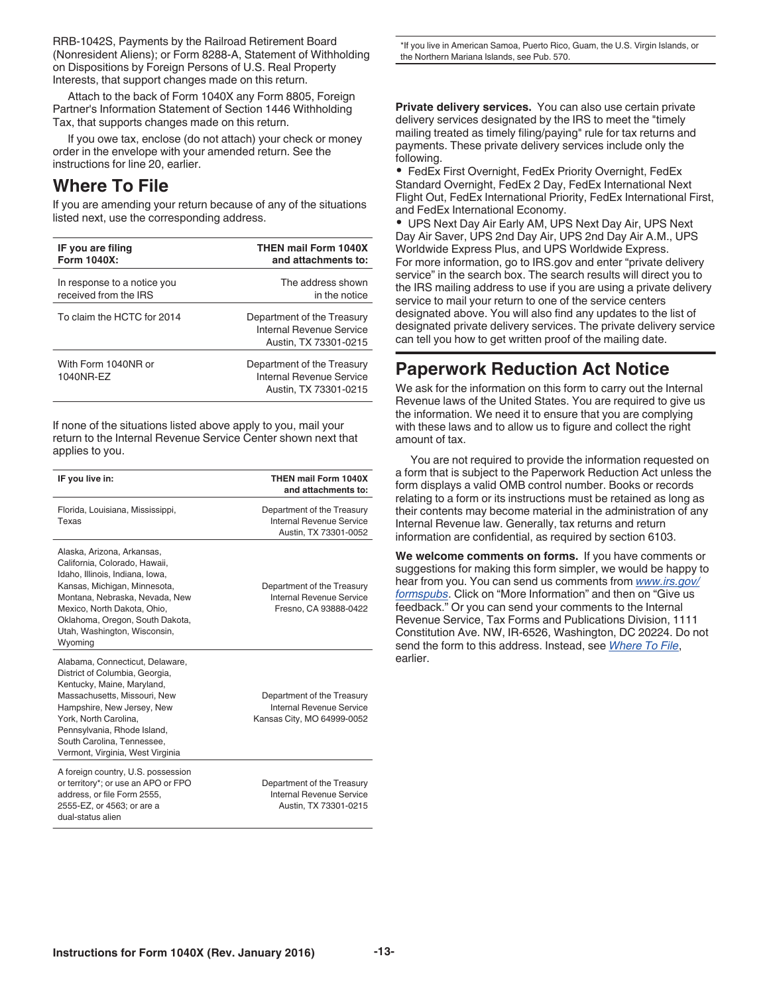<span id="page-12-0"></span>RRB-1042S, Payments by the Railroad Retirement Board (Nonresident Aliens); or Form 8288-A, Statement of Withholding on Dispositions by Foreign Persons of U.S. Real Property Interests, that support changes made on this return.

Attach to the back of Form 1040X any Form 8805, Foreign Partner's Information Statement of Section 1446 Withholding Tax, that supports changes made on this return.

If you owe tax, enclose (do not attach) your check or money order in the envelope with your amended return. See the instructions for line 20, earlier.

### **Where To File**

If you are amending your return because of any of the situations listed next, use the corresponding address.

| IF you are filing                | <b>THEN mail Form 1040X</b>                                                     |
|----------------------------------|---------------------------------------------------------------------------------|
| Form 1040X:                      | and attachments to:                                                             |
| In response to a notice you      | The address shown                                                               |
| received from the IRS            | in the notice                                                                   |
| To claim the HCTC for 2014       | Department of the Treasury<br>Internal Revenue Service<br>Austin, TX 73301-0215 |
| With Form 1040NR or<br>1040NR-EZ | Department of the Treasury<br>Internal Revenue Service<br>Austin, TX 73301-0215 |

If none of the situations listed above apply to you, mail your return to the Internal Revenue Service Center shown next that applies to you.

| IF you live in:                                                                                                                                                                                                                                                                         | THEN mail Form 1040X<br>and attachments to:                                          |
|-----------------------------------------------------------------------------------------------------------------------------------------------------------------------------------------------------------------------------------------------------------------------------------------|--------------------------------------------------------------------------------------|
| Florida, Louisiana, Mississippi,<br>Texas                                                                                                                                                                                                                                               | Department of the Treasury<br>Internal Revenue Service<br>Austin, TX 73301-0052      |
| Alaska, Arizona, Arkansas,<br>California, Colorado, Hawaii,<br>Idaho, Illinois, Indiana, Iowa,<br>Kansas, Michigan, Minnesota,<br>Montana, Nebraska, Nevada, New<br>Mexico, North Dakota, Ohio,<br>Oklahoma, Oregon, South Dakota,<br>Utah, Washington, Wisconsin,<br>Wyoming           | Department of the Treasury<br>Internal Revenue Service<br>Fresno, CA 93888-0422      |
| Alabama, Connecticut, Delaware,<br>District of Columbia, Georgia,<br>Kentucky, Maine, Maryland,<br>Massachusetts, Missouri, New<br>Hampshire, New Jersey, New<br>York, North Carolina,<br>Pennsylvania, Rhode Island,<br>South Carolina, Tennessee,<br>Vermont, Virginia, West Virginia | Department of the Treasury<br>Internal Revenue Service<br>Kansas City, MO 64999-0052 |
| A foreign country, U.S. possession<br>or territory*; or use an APO or FPO<br>address, or file Form 2555,<br>2555-EZ, or 4563; or are a<br>dual-status alien                                                                                                                             | Department of the Treasury<br>Internal Revenue Service<br>Austin, TX 73301-0215      |

\*If you live in American Samoa, Puerto Rico, Guam, the U.S. Virgin Islands, or the Northern Mariana Islands, see Pub. 570.

**Private delivery services.** You can also use certain private delivery services designated by the IRS to meet the "timely mailing treated as timely filing/paying" rule for tax returns and payments. These private delivery services include only the following.

FedEx First Overnight, FedEx Priority Overnight, FedEx Standard Overnight, FedEx 2 Day, FedEx International Next Flight Out, FedEx International Priority, FedEx International First, and FedEx International Economy.

UPS Next Day Air Early AM, UPS Next Day Air, UPS Next Day Air Saver, UPS 2nd Day Air, UPS 2nd Day Air A.M., UPS Worldwide Express Plus, and UPS Worldwide Express. For more information, go to IRS.gov and enter "private delivery service" in the search box. The search results will direct you to the IRS mailing address to use if you are using a private delivery service to mail your return to one of the service centers designated above. You will also find any updates to the list of designated private delivery services. The private delivery service can tell you how to get written proof of the mailing date.

### **Paperwork Reduction Act Notice**

We ask for the information on this form to carry out the Internal Revenue laws of the United States. You are required to give us the information. We need it to ensure that you are complying with these laws and to allow us to figure and collect the right amount of tax.

You are not required to provide the information requested on a form that is subject to the Paperwork Reduction Act unless the form displays a valid OMB control number. Books or records relating to a form or its instructions must be retained as long as their contents may become material in the administration of any Internal Revenue law. Generally, tax returns and return information are confidential, as required by section 6103.

**We welcome comments on forms.** If you have comments or suggestions for making this form simpler, we would be happy to hear from you. You can send us comments from *[www.irs.gov/](http://www.irs.gov/Forms-&-Pubs) [formspubs](http://www.irs.gov/Forms-&-Pubs)*. Click on "More Information" and then on "Give us feedback." Or you can send your comments to the Internal Revenue Service, Tax Forms and Publications Division, 1111 Constitution Ave. NW, IR-6526, Washington, DC 20224. Do not send the form to this address. Instead, see *Where To File*, earlier.